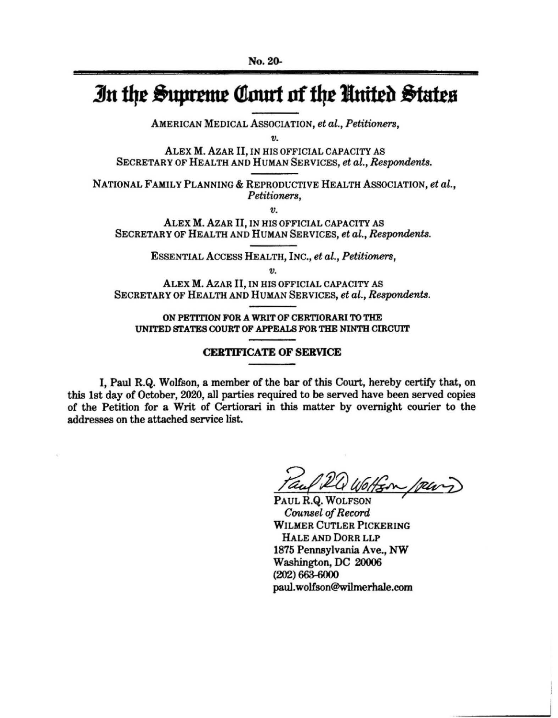## *In the Supreme Court of the United States*

AMERICAN MEDICAL ASSOCIATION, *et al., Petitioners,* 

*v.* 

ALEX M. AzAR II, IN HIS OFFICIAL CAPACITY AS SECRETARY OF HEALTH AND HUMAN SERVICES, *et al., Respondents.* 

NATIONAL FAMILY PLANNING & REPRODUCTIVE HEALTH ASSOCIATION, *et al., Petitioners,* 

*V.* 

ALEX **M.** AZAR II, IN HIS OFFICIAL CAPACITY AS SECRETARY OF HEALTH AND HUMAN SERVICES, *et al., Respondents.* 

ESSENTIAL ACCESS HEALTH, INC., *et al., Petitioners,* 

*V.* 

**ALEX M. AzAR** II, IN HIS OFFICIAL CAPACITY AS SECRETARY OF HEALTH AND HUMAN SERVICES, et al., Respondents.

**ON PETITION FOR A WRIT OF CERTIORARI TO THE UNITED STATES COURT OF APPEAU; FOR THE NINTH CIRCUIT** 

## **CERTIFICATE OF SERVICE**

I, Paul **R.Q.** Wolfson, a member of the bar of this Court, hereby certify that, on this 1st day of October, 2020, all parties required to be served have been served copies of the Petition for a Writ of Certiorari in this matter by overnight courier to the addresses on the attached service list.

Tauf 24 Wolfson perry

*Counsel of Record* **WILMER** CUTLER PICKERING HALE AND DORR LLP 1875 Pennsylvania Ave., NW Washington, DC 20006  $(202)$  663-6000 paul. wolfson@wilmerhale.com